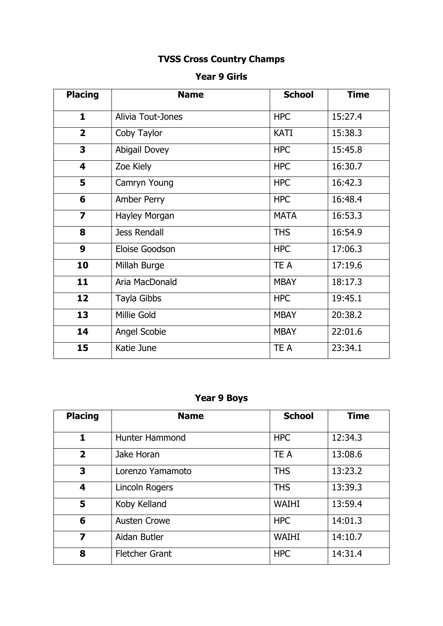# **TVSS Cross Country Champs**

#### **Year 9 Girls**

| <b>Placing</b>          | <b>Name</b>          | <b>School</b> | <b>Time</b> |
|-------------------------|----------------------|---------------|-------------|
| $\mathbf{1}$            | Alivia Tout-Jones    | <b>HPC</b>    | 15:27.4     |
| $\overline{\mathbf{2}}$ | Coby Taylor          | <b>KATI</b>   | 15:38.3     |
| 3                       | <b>Abigail Dovey</b> | <b>HPC</b>    | 15:45.8     |
| $\overline{\mathbf{4}}$ | Zoe Kiely            | <b>HPC</b>    | 16:30.7     |
| 5                       | Camryn Young         | <b>HPC</b>    | 16:42.3     |
| 6                       | Amber Perry          | <b>HPC</b>    | 16:48.4     |
| $\overline{\mathbf{z}}$ | Hayley Morgan        | <b>MATA</b>   | 16:53.3     |
| 8                       | <b>Jess Rendall</b>  | <b>THS</b>    | 16:54.9     |
| 9                       | Eloise Goodson       | <b>HPC</b>    | 17:06.3     |
| 10                      | Millah Burge         | TE A          | 17:19.6     |
| 11                      | Aria MacDonald       | <b>MBAY</b>   | 18:17.3     |
| 12                      | Tayla Gibbs          | <b>HPC</b>    | 19:45.1     |
| 13                      | Millie Gold          | <b>MBAY</b>   | 20:38.2     |
| 14                      | Angel Scobie         | <b>MBAY</b>   | 22:01.6     |
| 15                      | Katie June           | TE A          | 23:34.1     |

# **Year 9 Boys**

| <b>Placing</b>          | <b>Name</b>           | <b>School</b> | <b>Time</b> |
|-------------------------|-----------------------|---------------|-------------|
| 1                       | <b>Hunter Hammond</b> | <b>HPC</b>    | 12:34.3     |
| $\overline{\mathbf{2}}$ | Jake Horan            | TE A          | 13:08.6     |
| 3                       | Lorenzo Yamamoto      | <b>THS</b>    | 13:23.2     |
| $\overline{\mathbf{4}}$ | Lincoln Rogers        | <b>THS</b>    | 13:39.3     |
| 5                       | Koby Kelland          | <b>WAIHI</b>  | 13:59.4     |
| 6                       | <b>Austen Crowe</b>   | <b>HPC</b>    | 14:01.3     |
| $\overline{\mathbf{z}}$ | Aidan Butler          | <b>WAIHI</b>  | 14:10.7     |
| 8                       | <b>Fletcher Grant</b> | <b>HPC</b>    | 14:31.4     |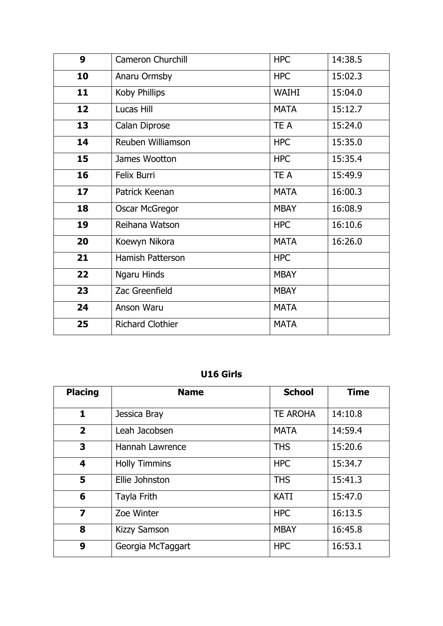| 9               | <b>Cameron Churchill</b> | <b>HPC</b>   | 14:38.5 |
|-----------------|--------------------------|--------------|---------|
| 10              | Anaru Ormsby             | <b>HPC</b>   | 15:02.3 |
| 11              | Koby Phillips            | <b>WAIHI</b> | 15:04.0 |
| 12              | Lucas Hill               | <b>MATA</b>  | 15:12.7 |
| 13              | Calan Diprose            | TE A         | 15:24.0 |
| 14              | Reuben Williamson        | <b>HPC</b>   | 15:35.0 |
| 15              | James Wootton            | <b>HPC</b>   | 15:35.4 |
| 16              | Felix Burri              | TE A         | 15:49.9 |
| 17 <sup>2</sup> | Patrick Keenan           | <b>MATA</b>  | 16:00.3 |
| 18              | <b>Oscar McGregor</b>    | <b>MBAY</b>  | 16:08.9 |
| 19              | Reihana Watson           | <b>HPC</b>   | 16:10.6 |
| 20              | Koewyn Nikora            | <b>MATA</b>  | 16:26.0 |
| 21              | <b>Hamish Patterson</b>  | <b>HPC</b>   |         |
| 22              | Ngaru Hinds              | <b>MBAY</b>  |         |
| 23              | Zac Greenfield           | <b>MBAY</b>  |         |
| 24              | <b>Anson Waru</b>        | <b>MATA</b>  |         |
| 25              | <b>Richard Clothier</b>  | <b>MATA</b>  |         |

### **U16 Girls**

| <b>Placing</b>          | <b>Name</b>          | <b>School</b>   | <b>Time</b> |
|-------------------------|----------------------|-----------------|-------------|
| $\mathbf{1}$            | Jessica Bray         | <b>TE AROHA</b> | 14:10.8     |
| $\overline{2}$          | Leah Jacobsen        | <b>MATA</b>     | 14:59.4     |
| 3                       | Hannah Lawrence      | <b>THS</b>      | 15:20.6     |
| 4                       | <b>Holly Timmins</b> | <b>HPC</b>      | 15:34.7     |
| 5                       | Ellie Johnston       | <b>THS</b>      | 15:41.3     |
| 6                       | Tayla Frith          | <b>KATI</b>     | 15:47.0     |
| $\overline{\mathbf{z}}$ | Zoe Winter           | <b>HPC</b>      | 16:13.5     |
| 8                       | <b>Kizzy Samson</b>  | <b>MBAY</b>     | 16:45.8     |
| 9                       | Georgia McTaggart    | <b>HPC</b>      | 16:53.1     |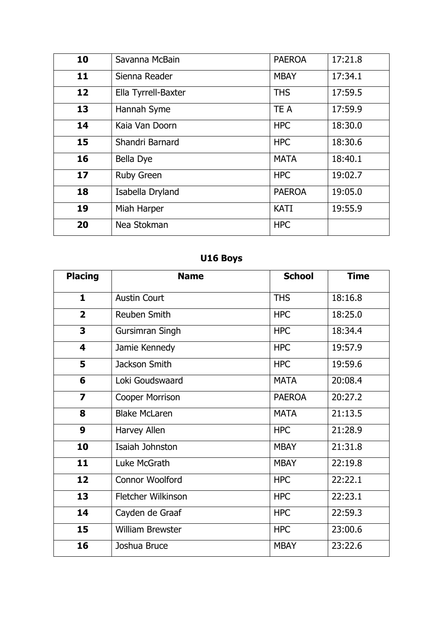| 10 | Savanna McBain      | <b>PAEROA</b> | 17:21.8 |
|----|---------------------|---------------|---------|
| 11 | Sienna Reader       | <b>MBAY</b>   | 17:34.1 |
| 12 | Ella Tyrrell-Baxter | <b>THS</b>    | 17:59.5 |
| 13 | Hannah Syme         | TE A          | 17:59.9 |
| 14 | Kaia Van Doorn      | <b>HPC</b>    | 18:30.0 |
| 15 | Shandri Barnard     | <b>HPC</b>    | 18:30.6 |
| 16 | Bella Dye           | <b>MATA</b>   | 18:40.1 |
| 17 | <b>Ruby Green</b>   | <b>HPC</b>    | 19:02.7 |
| 18 | Isabella Dryland    | <b>PAEROA</b> | 19:05.0 |
| 19 | Miah Harper         | <b>KATI</b>   | 19:55.9 |
| 20 | Nea Stokman         | <b>HPC</b>    |         |

# **U16 Boys**

| <b>Placing</b>          | <b>Name</b>             | <b>School</b> | <b>Time</b> |
|-------------------------|-------------------------|---------------|-------------|
| $\mathbf{1}$            | <b>Austin Court</b>     | <b>THS</b>    | 18:16.8     |
| $\overline{2}$          | Reuben Smith            | <b>HPC</b>    | 18:25.0     |
| 3                       | Gursimran Singh         | <b>HPC</b>    | 18:34.4     |
| 4                       | Jamie Kennedy           | <b>HPC</b>    | 19:57.9     |
| 5                       | Jackson Smith           | <b>HPC</b>    | 19:59.6     |
| 6                       | Loki Goudswaard         | <b>MATA</b>   | 20:08.4     |
| $\overline{\mathbf{z}}$ | Cooper Morrison         | <b>PAEROA</b> | 20:27.2     |
| 8                       | <b>Blake McLaren</b>    | <b>MATA</b>   | 21:13.5     |
| 9                       | Harvey Allen            | <b>HPC</b>    | 21:28.9     |
| 10                      | Isaiah Johnston         | <b>MBAY</b>   | 21:31.8     |
| 11                      | Luke McGrath            | <b>MBAY</b>   | 22:19.8     |
| 12                      | Connor Woolford         | <b>HPC</b>    | 22:22.1     |
| 13                      | Fletcher Wilkinson      | <b>HPC</b>    | 22:23.1     |
| 14                      | Cayden de Graaf         | <b>HPC</b>    | 22:59.3     |
| 15                      | <b>William Brewster</b> | <b>HPC</b>    | 23:00.6     |
| 16                      | Joshua Bruce            | <b>MBAY</b>   | 23:22.6     |